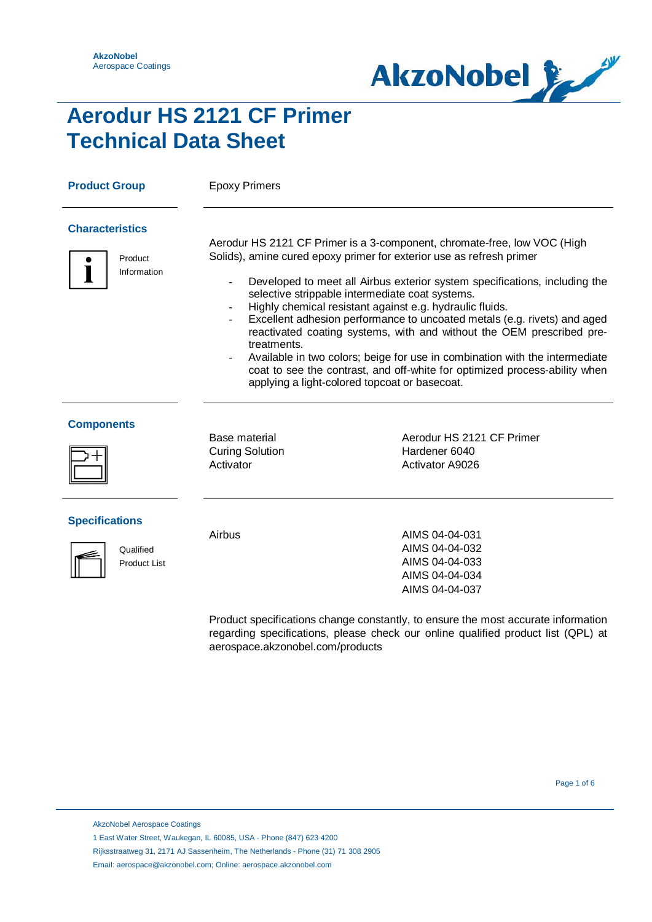

## **Aerodur HS 2121 CF Primer Technical Data Sheet**

| <b>Product Group</b>                             | <b>Epoxy Primers</b>                                 |                                                                                                                                                                                                                                                                                                                                                                                                                                                                                                                                                                                                                                                                                                                  |
|--------------------------------------------------|------------------------------------------------------|------------------------------------------------------------------------------------------------------------------------------------------------------------------------------------------------------------------------------------------------------------------------------------------------------------------------------------------------------------------------------------------------------------------------------------------------------------------------------------------------------------------------------------------------------------------------------------------------------------------------------------------------------------------------------------------------------------------|
| <b>Characteristics</b><br>Product<br>Information | treatments.                                          | Aerodur HS 2121 CF Primer is a 3-component, chromate-free, low VOC (High<br>Solids), amine cured epoxy primer for exterior use as refresh primer<br>Developed to meet all Airbus exterior system specifications, including the<br>selective strippable intermediate coat systems.<br>Highly chemical resistant against e.g. hydraulic fluids.<br>Excellent adhesion performance to uncoated metals (e.g. rivets) and aged<br>reactivated coating systems, with and without the OEM prescribed pre-<br>Available in two colors; beige for use in combination with the intermediate<br>coat to see the contrast, and off-white for optimized process-ability when<br>applying a light-colored topcoat or basecoat. |
| <b>Components</b>                                | Base material<br><b>Curing Solution</b><br>Activator | Aerodur HS 2121 CF Primer<br>Hardener 6040<br><b>Activator A9026</b>                                                                                                                                                                                                                                                                                                                                                                                                                                                                                                                                                                                                                                             |

### **Specifications**



**Qualified** Product List

Airbus **AIMS 04-04-031** AIMS 04-04-032 AIMS 04-04-033 AIMS 04-04-034 AIMS 04-04-037

Product specifications change constantly, to ensure the most accurate information regarding specifications, please check our online qualified product list (QPL) at aerospace.akzonobel.com/products

AkzoNobel Aerospace Coatings

1 East Water Street, Waukegan, IL 60085, USA - Phone (847) 623 4200

- Rijksstraatweg 31, 2171 AJ Sassenheim, The Netherlands Phone (31) 71 308 2905
- Email: aerospace@akzonobel.com; Online: aerospace.akzonobel.com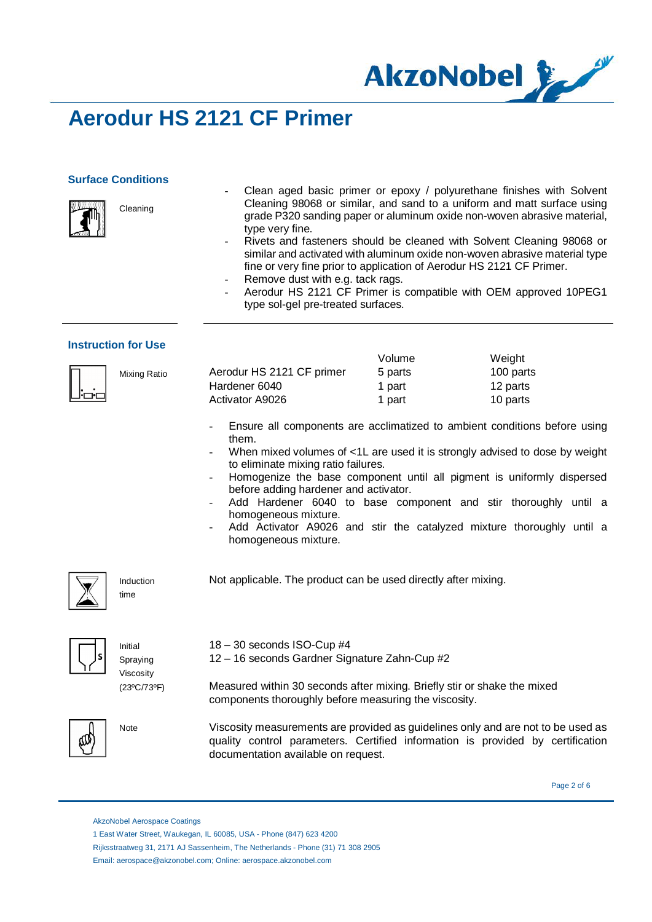

### **Surface Conditions**

Cleaning



- Clean aged basic primer or epoxy / polyurethane finishes with Solvent Cleaning 98068 or similar, and sand to a uniform and matt surface using grade P320 sanding paper or aluminum oxide non-woven abrasive material, type very fine.
- Rivets and fasteners should be cleaned with Solvent Cleaning 98068 or similar and activated with aluminum oxide non-woven abrasive material type fine or very fine prior to application of Aerodur HS 2121 CF Primer.
- Remove dust with e.g. tack rags.
- Aerodur HS 2121 CF Primer is compatible with OEM approved 10PEG1 type sol-gel pre-treated surfaces.

#### **Instruction for Use**

|     |              |                           | Volume  | Weiaht    |
|-----|--------------|---------------------------|---------|-----------|
|     | Mixing Ratio | Aerodur HS 2121 CF primer | 5 parts | 100 parts |
|     |              | Hardener 6040             | 1 part  | 12 parts  |
| lod |              | Activator A9026           | 1 part  | 10 parts  |

18 – 30 seconds ISO-Cup #4

documentation available on request.

- Ensure all components are acclimatized to ambient conditions before using them.
- When mixed volumes of <1L are used it is strongly advised to dose by weight to eliminate mixing ratio failures.
- Homogenize the base component until all pigment is uniformly dispersed before adding hardener and activator.
- Add Hardener 6040 to base component and stir thoroughly until a homogeneous mixture.
- Add Activator A9026 and stir the catalyzed mixture thoroughly until a homogeneous mixture.



Induction

time

Not applicable. The product can be used directly after mixing.

12 – 16 seconds Gardner Signature Zahn-Cup #2



Initial Spraying Viscosity (23ºC/73ºF)



Measured within 30 seconds after mixing. Briefly stir or shake the mixed components thoroughly before measuring the viscosity.

Note Viscosity measurements are provided as guidelines only and are not to be used as quality control parameters. Certified information is provided by certification

Page 2 of 6

 Rijksstraatweg 31, 2171 AJ Sassenheim, The Netherlands - Phone (31) 71 308 2905 Email: aerospace@akzonobel.com; Online: aerospace.akzonobel.com

AkzoNobel Aerospace Coatings

 <sup>1</sup> East Water Street, Waukegan, IL 60085, USA - Phone (847) 623 4200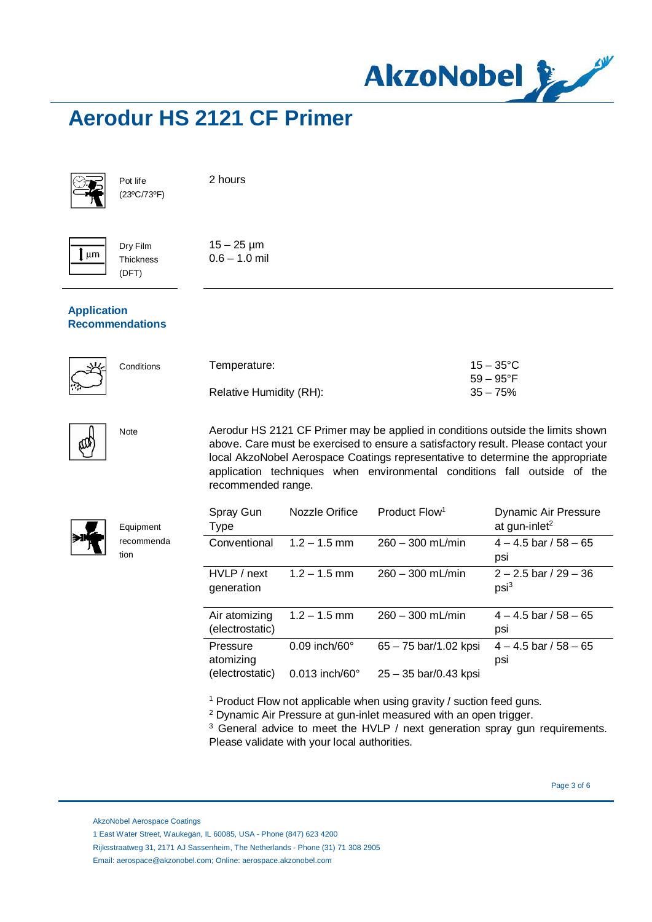

2 hours

 $15 - 25 \,\text{\mu m}$  $0.6 - 1.0$  mil



Pot life (23ºC/73ºF)

 $\mathbf{I}$  µm

Dry Film Thickness (DFT)

### **Application Recommendations**

| 埃  | Conditions | Temperature:            | $15 - 35^{\circ}$ C |
|----|------------|-------------------------|---------------------|
| کب |            |                         | 59 – 95°F           |
|    |            | Relative Humidity (RH): | $35 - 75%$          |



 $\zeta$ 

Note Aerodur HS 2121 CF Primer may be applied in conditions outside the limits shown above. Care must be exercised to ensure a satisfactory result. Please contact your local AkzoNobel Aerospace Coatings representative to determine the appropriate application techniques when environmental conditions fall outside of the recommended range.

| Spray Gun<br><b>Type</b>         | Nozzle Orifice             | Product Flow <sup>1</sup> | Dynamic Air Pressure<br>at gun-inlet <sup>2</sup> |
|----------------------------------|----------------------------|---------------------------|---------------------------------------------------|
| Conventional                     | $1.2 - 1.5$ mm             | $260 - 300$ mL/min        | $4 - 4.5$ bar / 58 $- 65$<br>psi                  |
| HVLP / next<br>generation        | $1.2 - 1.5$ mm             | $260 - 300$ mL/min        | $2 - 2.5$ bar / 29 - 36<br>$psi^3$                |
| Air atomizing<br>(electrostatic) | $1.2 - 1.5$ mm             | $260 - 300$ mL/min        | $4 - 4.5$ bar / 58 $- 65$<br>psi                  |
| Pressure<br>atomizing            | $0.09$ inch/60 $^{\circ}$  | $65 - 75$ bar/1.02 kpsi   | $4 - 4.5$ bar / 58 $- 65$<br>psi                  |
| (electrostatic)                  | $0.013$ inch/60 $^{\circ}$ | $25 - 35$ bar/0.43 kpsi   |                                                   |

<sup>1</sup> Product Flow not applicable when using gravity / suction feed guns.

<sup>2</sup> Dynamic Air Pressure at gun-inlet measured with an open trigger.

<sup>3</sup> General advice to meet the HVLP / next generation spray gun requirements. Please validate with your local authorities.

Page 3 of 6

AkzoNobel Aerospace Coatings

Equipment recommenda

tion

Rijksstraatweg 31, 2171 AJ Sassenheim, The Netherlands - Phone (31) 71 308 2905

Email: aerospace@akzonobel.com; Online: aerospace.akzonobel.com

 <sup>1</sup> East Water Street, Waukegan, IL 60085, USA - Phone (847) 623 4200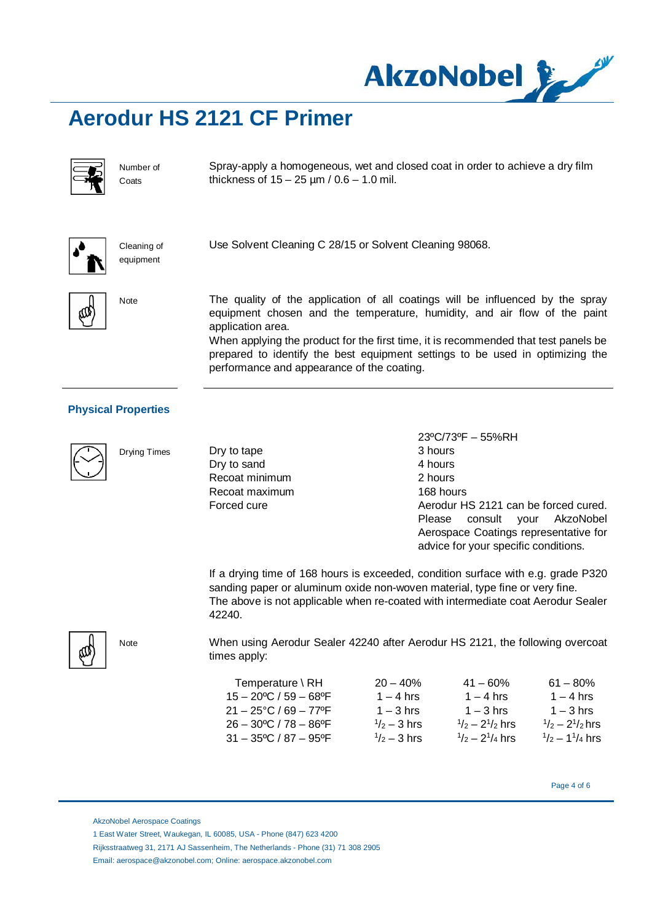



Number of **Coats** 

Spray-apply a homogeneous, wet and closed coat in order to achieve a dry film thickness of  $15 - 25 \mu m / 0.6 - 1.0 \text{ mil.}$ 



Cleaning of equipment

Use Solvent Cleaning C 28/15 or Solvent Cleaning 98068.



Note The quality of the application of all coatings will be influenced by the spray equipment chosen and the temperature, humidity, and air flow of the paint application area.

When applying the product for the first time, it is recommended that test panels be prepared to identify the best equipment settings to be used in optimizing the performance and appearance of the coating.

### **Physical Properties**

Drying Times



Dry to tape Dry to sand Recoat minimum Recoat maximum Forced cure

23ºC/73ºF – 55%RH 3 hours 4 hours 2 hours 168 hours Aerodur HS 2121 can be forced cured. Please consult your AkzoNobel Aerospace Coatings representative for advice for your specific conditions.

If a drying time of 168 hours is exceeded, condition surface with e.g. grade P320 sanding paper or aluminum oxide non-woven material, type fine or very fine. The above is not applicable when re-coated with intermediate coat Aerodur Sealer 42240.

When using Aerodur Sealer 42240 after Aerodur HS 2121, the following overcoat times apply:

| Temperature $\setminus$ RH                        | $20 - 40%$            | $41 - 60\%$                         | $61 - 80\%$                        |
|---------------------------------------------------|-----------------------|-------------------------------------|------------------------------------|
| $15 - 20$ <sup>o</sup> C / 59 - 68 <sup>o</sup> F | $1 - 4$ hrs           | $1 - 4$ hrs                         | $1 - 4$ hrs                        |
| $21 - 25$ °C / 69 – 77°F                          | $1 - 3$ hrs           | $1 - 3$ hrs                         | $1 - 3$ hrs                        |
| $26 - 30^{\circ}$ C / 78 - 86°F                   | $\frac{1}{2}$ – 3 hrs | $\frac{1}{2}$ – 2 $\frac{1}{2}$ hrs | $\frac{1}{2}$ - 2 $\frac{1}{2}$ hr |
| $31 - 35^{\circ}$ C / 87 - 95°F                   | $\frac{1}{2}$ – 3 hrs | $\frac{1}{2}$ – 2 $\frac{1}{4}$ hrs | $\frac{1}{2} - \frac{11}{4}$ hr    |

Page 4 of 6

 $61 - 80\%$ 

 $1/2 - 2<sup>1</sup>/2$  hrs

 $1/2 - 1^{1}/4$  hrs

AkzoNobel Aerospace Coatings

Note

Rijksstraatweg 31, 2171 AJ Sassenheim, The Netherlands - Phone (31) 71 308 2905

Email: aerospace@akzonobel.com; Online: aerospace.akzonobel.com

 <sup>1</sup> East Water Street, Waukegan, IL 60085, USA - Phone (847) 623 4200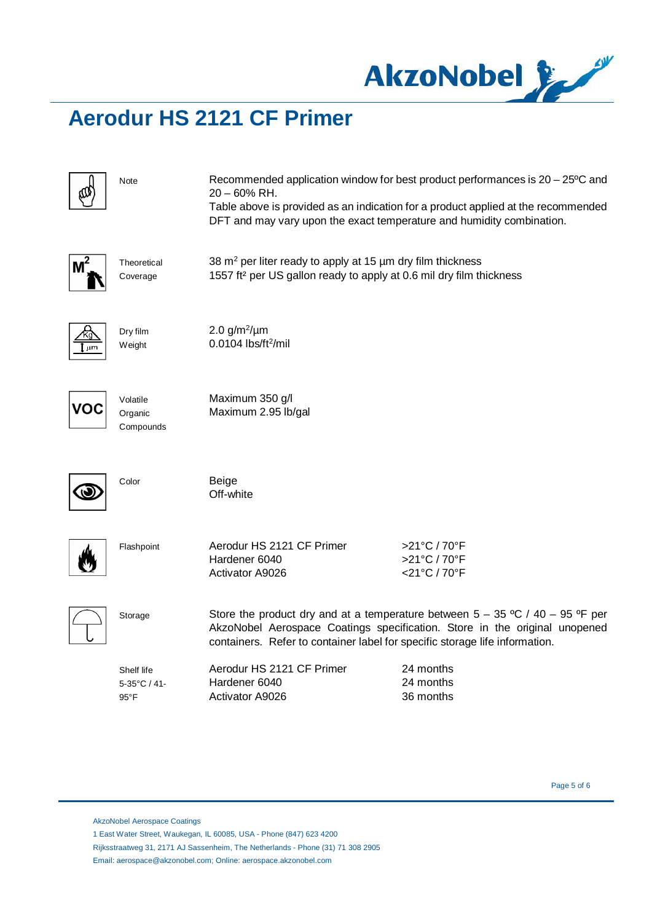

|            | Note                                         | $20 - 60\%$ RH.<br>DFT and may vary upon the exact temperature and humidity combination.                                                                                                                                                     | Recommended application window for best product performances is 20 – 25°C and<br>Table above is provided as an indication for a product applied at the recommended |  |
|------------|----------------------------------------------|----------------------------------------------------------------------------------------------------------------------------------------------------------------------------------------------------------------------------------------------|--------------------------------------------------------------------------------------------------------------------------------------------------------------------|--|
|            | Theoretical<br>Coverage                      | 38 $m2$ per liter ready to apply at 15 $\mu$ m dry film thickness<br>1557 ft <sup>2</sup> per US gallon ready to apply at 0.6 mil dry film thickness                                                                                         |                                                                                                                                                                    |  |
| বি<br>jum. | Dry film<br>Weight                           | 2.0 $g/m^2/\mu m$<br>$0.0104$ lbs/ft <sup>2</sup> /mil                                                                                                                                                                                       |                                                                                                                                                                    |  |
|            | Volatile<br>Organic<br>Compounds             | Maximum 350 g/l<br>Maximum 2.95 lb/gal                                                                                                                                                                                                       |                                                                                                                                                                    |  |
|            | Color                                        | Beige<br>Off-white                                                                                                                                                                                                                           |                                                                                                                                                                    |  |
|            | Flashpoint                                   | Aerodur HS 2121 CF Primer<br>Hardener 6040<br><b>Activator A9026</b>                                                                                                                                                                         | >21°C / 70°F<br>>21°C / 70°F<br><21°C / 70°F                                                                                                                       |  |
|            | Storage                                      | Store the product dry and at a temperature between $5 - 35$ °C / 40 - 95 °F per<br>AkzoNobel Aerospace Coatings specification. Store in the original unopened<br>containers. Refer to container label for specific storage life information. |                                                                                                                                                                    |  |
|            | Shelf life<br>5-35°C / 41-<br>$95^{\circ}$ F | Aerodur HS 2121 CF Primer<br>Hardener 6040<br><b>Activator A9026</b>                                                                                                                                                                         | 24 months<br>24 months<br>36 months                                                                                                                                |  |

AkzoNobel Aerospace Coatings

1 East Water Street, Waukegan, IL 60085, USA - Phone (847) 623 4200

 Rijksstraatweg 31, 2171 AJ Sassenheim, The Netherlands - Phone (31) 71 308 2905 Email: aerospace@akzonobel.com; Online: aerospace.akzonobel.com